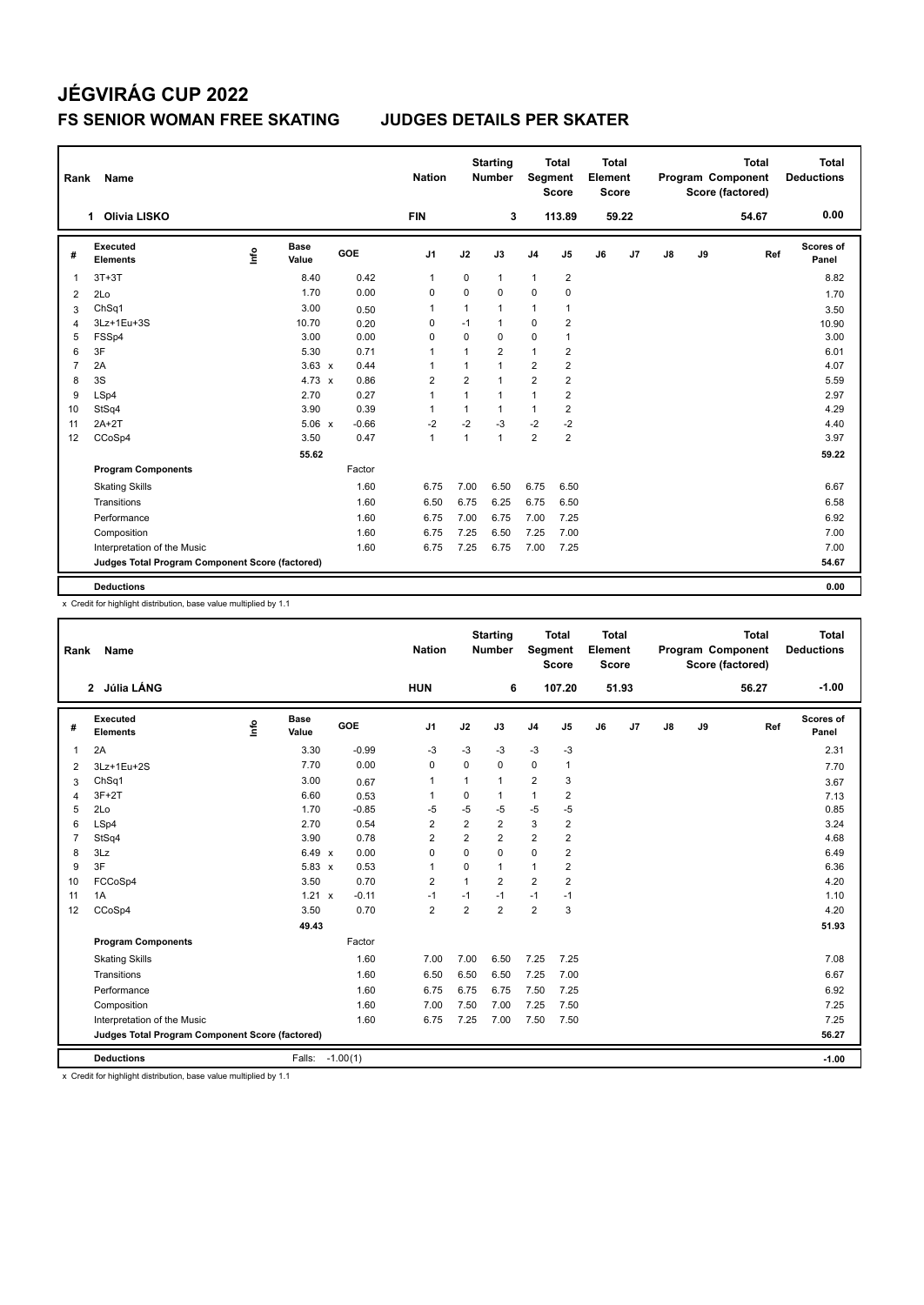# **JÉGVIRÁG CUP 2022 FS SENIOR WOMAN FREE SKATING JUDGES DETAILS PER SKATER**

| Rank           | Name                                            |      |                      |         | <b>Nation</b>  |                | <b>Starting</b><br><b>Number</b> | Segment        | <b>Total</b><br><b>Score</b> | <b>Total</b><br>Element<br><b>Score</b> |       |    |    | <b>Total</b><br>Program Component<br>Score (factored) | <b>Total</b><br><b>Deductions</b> |
|----------------|-------------------------------------------------|------|----------------------|---------|----------------|----------------|----------------------------------|----------------|------------------------------|-----------------------------------------|-------|----|----|-------------------------------------------------------|-----------------------------------|
|                | <b>Olivia LISKO</b><br>1.                       |      |                      |         | <b>FIN</b>     |                | 3                                |                | 113.89                       |                                         | 59.22 |    |    | 54.67                                                 | 0.00                              |
| #              | Executed<br><b>Elements</b>                     | ١nf٥ | <b>Base</b><br>Value | GOE     | J <sub>1</sub> | J2             | J3                               | J <sub>4</sub> | J5                           | J6                                      | J7    | J8 | J9 | Ref                                                   | Scores of<br>Panel                |
| 1              | $3T+3T$                                         |      | 8.40                 | 0.42    | $\mathbf{1}$   | 0              | $\mathbf{1}$                     | 1              | $\overline{2}$               |                                         |       |    |    |                                                       | 8.82                              |
| $\overline{2}$ | 2Lo                                             |      | 1.70                 | 0.00    | 0              | $\Omega$       | $\Omega$                         | $\Omega$       | $\mathbf 0$                  |                                         |       |    |    |                                                       | 1.70                              |
| 3              | ChSq1                                           |      | 3.00                 | 0.50    | $\mathbf{1}$   | $\mathbf{1}$   | $\mathbf{1}$                     | 1              | $\mathbf{1}$                 |                                         |       |    |    |                                                       | 3.50                              |
| 4              | 3Lz+1Eu+3S                                      |      | 10.70                | 0.20    | 0              | $-1$           | $\mathbf{1}$                     | $\mathbf 0$    | $\overline{2}$               |                                         |       |    |    |                                                       | 10.90                             |
| 5              | FSSp4                                           |      | 3.00                 | 0.00    | 0              | 0              | 0                                | 0              | $\mathbf{1}$                 |                                         |       |    |    |                                                       | 3.00                              |
| 6              | 3F                                              |      | 5.30                 | 0.71    | $\overline{1}$ | $\mathbf{1}$   | $\overline{2}$                   | $\mathbf{1}$   | $\overline{2}$               |                                         |       |    |    |                                                       | 6.01                              |
| $\overline{7}$ | 2A                                              |      | $3.63 \times$        | 0.44    | 1              | 1              | $\mathbf{1}$                     | $\overline{2}$ | $\overline{2}$               |                                         |       |    |    |                                                       | 4.07                              |
| 8              | 3S                                              |      | 4.73 $\times$        | 0.86    | $\overline{2}$ | $\overline{2}$ | 1                                | $\overline{2}$ | $\overline{2}$               |                                         |       |    |    |                                                       | 5.59                              |
| 9              | LSp4                                            |      | 2.70                 | 0.27    | $\mathbf{1}$   | $\mathbf{1}$   | $\mathbf{1}$                     | 1              | $\overline{2}$               |                                         |       |    |    |                                                       | 2.97                              |
| 10             | StSq4                                           |      | 3.90                 | 0.39    | $\mathbf{1}$   | $\mathbf{1}$   | $\mathbf{1}$                     | 1              | $\overline{2}$               |                                         |       |    |    |                                                       | 4.29                              |
| 11             | $2A+2T$                                         |      | 5.06 x               | $-0.66$ | $-2$           | $-2$           | $-3$                             | $-2$           | $-2$                         |                                         |       |    |    |                                                       | 4.40                              |
| 12             | CCoSp4                                          |      | 3.50                 | 0.47    | $\mathbf{1}$   | $\mathbf{1}$   | $\mathbf{1}$                     | $\overline{2}$ | $\overline{2}$               |                                         |       |    |    |                                                       | 3.97                              |
|                |                                                 |      | 55.62                |         |                |                |                                  |                |                              |                                         |       |    |    |                                                       | 59.22                             |
|                | <b>Program Components</b>                       |      |                      | Factor  |                |                |                                  |                |                              |                                         |       |    |    |                                                       |                                   |
|                | <b>Skating Skills</b>                           |      |                      | 1.60    | 6.75           | 7.00           | 6.50                             | 6.75           | 6.50                         |                                         |       |    |    |                                                       | 6.67                              |
|                | Transitions                                     |      |                      | 1.60    | 6.50           | 6.75           | 6.25                             | 6.75           | 6.50                         |                                         |       |    |    |                                                       | 6.58                              |
|                | Performance                                     |      |                      | 1.60    | 6.75           | 7.00           | 6.75                             | 7.00           | 7.25                         |                                         |       |    |    |                                                       | 6.92                              |
|                | Composition                                     |      |                      | 1.60    | 6.75           | 7.25           | 6.50                             | 7.25           | 7.00                         |                                         |       |    |    |                                                       | 7.00                              |
|                | Interpretation of the Music                     |      |                      | 1.60    | 6.75           | 7.25           | 6.75                             | 7.00           | 7.25                         |                                         |       |    |    |                                                       | 7.00                              |
|                | Judges Total Program Component Score (factored) |      |                      |         |                |                |                                  |                |                              |                                         |       |    |    |                                                       | 54.67                             |
|                | <b>Deductions</b>                               |      |                      |         |                |                |                                  |                |                              |                                         |       |    |    |                                                       | 0.00                              |

x Credit for highlight distribution, base value multiplied by 1.1

| Name                        |                      |                      |         | <b>Nation</b>                                                                                                    |                |                |                                  |                |                                                   |    |                                                  |    | <b>Total</b> | <b>Total</b><br><b>Deductions</b>                   |
|-----------------------------|----------------------|----------------------|---------|------------------------------------------------------------------------------------------------------------------|----------------|----------------|----------------------------------|----------------|---------------------------------------------------|----|--------------------------------------------------|----|--------------|-----------------------------------------------------|
|                             |                      |                      |         | <b>HUN</b>                                                                                                       |                | 6              |                                  |                |                                                   |    |                                                  |    | 56.27        | $-1.00$                                             |
| Executed<br><b>Elements</b> | lnfo                 | <b>Base</b><br>Value | GOE     | J <sub>1</sub>                                                                                                   | J2             | J3             | J <sub>4</sub>                   | J <sub>5</sub> | J6                                                | J7 | J8                                               | J9 |              | Scores of<br>Panel                                  |
| 2A                          |                      | 3.30                 | $-0.99$ | $-3$                                                                                                             | $-3$           | $-3$           | $-3$                             | $-3$           |                                                   |    |                                                  |    |              | 2.31                                                |
| 3Lz+1Eu+2S                  |                      | 7.70                 | 0.00    | $\mathbf 0$                                                                                                      | $\Omega$       | 0              | $\mathbf 0$                      | $\mathbf{1}$   |                                                   |    |                                                  |    |              | 7.70                                                |
| ChSq1                       |                      | 3.00                 | 0.67    | $\mathbf 1$                                                                                                      | 1              | $\mathbf{1}$   | $\overline{2}$                   | 3              |                                                   |    |                                                  |    |              | 3.67                                                |
| $3F+2T$                     |                      | 6.60                 | 0.53    |                                                                                                                  | 0              | 1              | 1                                | 2              |                                                   |    |                                                  |    |              | 7.13                                                |
| 2Lo                         |                      | 1.70                 | $-0.85$ | $-5$                                                                                                             | $-5$           | $-5$           | $-5$                             | $-5$           |                                                   |    |                                                  |    |              | 0.85                                                |
| LSp4                        |                      | 2.70                 | 0.54    | $\overline{2}$                                                                                                   | $\overline{2}$ | $\overline{2}$ | 3                                | $\overline{2}$ |                                                   |    |                                                  |    |              | 3.24                                                |
| StSq4                       |                      | 3.90                 | 0.78    | $\overline{2}$                                                                                                   | $\overline{2}$ | $\overline{2}$ | $\overline{2}$                   | $\overline{2}$ |                                                   |    |                                                  |    |              | 4.68                                                |
| 3Lz                         |                      |                      | 0.00    | 0                                                                                                                | 0              | $\Omega$       | $\mathbf 0$                      | $\overline{2}$ |                                                   |    |                                                  |    |              | 6.49                                                |
| 3F                          |                      |                      | 0.53    | $\mathbf 1$                                                                                                      | $\mathbf 0$    | 1              | $\mathbf{1}$                     | 2              |                                                   |    |                                                  |    |              | 6.36                                                |
| FCCoSp4                     |                      | 3.50                 | 0.70    | $\overline{2}$                                                                                                   | $\mathbf{1}$   | $\overline{2}$ | $\overline{2}$                   | $\overline{2}$ |                                                   |    |                                                  |    |              | 4.20                                                |
| 1A                          |                      |                      | $-0.11$ | $-1$                                                                                                             | $-1$           | $-1$           | $-1$                             | $-1$           |                                                   |    |                                                  |    |              | 1.10                                                |
| CCoSp4                      |                      | 3.50                 | 0.70    | $\overline{2}$                                                                                                   | $\overline{2}$ | $\overline{2}$ | $\overline{2}$                   | 3              |                                                   |    |                                                  |    |              | 4.20                                                |
|                             |                      | 49.43                |         |                                                                                                                  |                |                |                                  |                |                                                   |    |                                                  |    |              | 51.93                                               |
| <b>Program Components</b>   |                      |                      | Factor  |                                                                                                                  |                |                |                                  |                |                                                   |    |                                                  |    |              |                                                     |
| <b>Skating Skills</b>       |                      |                      | 1.60    | 7.00                                                                                                             | 7.00           | 6.50           | 7.25                             | 7.25           |                                                   |    |                                                  |    |              | 7.08                                                |
| Transitions                 |                      |                      | 1.60    | 6.50                                                                                                             | 6.50           | 6.50           | 7.25                             | 7.00           |                                                   |    |                                                  |    |              | 6.67                                                |
| Performance                 |                      |                      | 1.60    | 6.75                                                                                                             | 6.75           | 6.75           | 7.50                             | 7.25           |                                                   |    |                                                  |    |              | 6.92                                                |
| Composition                 |                      |                      | 1.60    | 7.00                                                                                                             | 7.50           | 7.00           | 7.25                             | 7.50           |                                                   |    |                                                  |    |              | 7.25                                                |
| Interpretation of the Music |                      |                      | 1.60    | 6.75                                                                                                             | 7.25           | 7.00           | 7.50                             | 7.50           |                                                   |    |                                                  |    |              | 7.25                                                |
|                             |                      |                      |         |                                                                                                                  |                |                |                                  |                |                                                   |    |                                                  |    |              | 56.27                                               |
| <b>Deductions</b>           |                      | Falls:               |         |                                                                                                                  |                |                |                                  |                |                                                   |    |                                                  |    |              | $-1.00$                                             |
|                             | Rank<br>2 Júlia LÁNG |                      |         | 6.49 $\times$<br>$5.83 \times$<br>$1.21 \times$<br>Judges Total Program Component Score (factored)<br>$-1.00(1)$ |                |                | <b>Starting</b><br><b>Number</b> |                | <b>Total</b><br>Segment<br><b>Score</b><br>107.20 |    | <b>Total</b><br>Element<br><b>Score</b><br>51.93 |    |              | <b>Program Component</b><br>Score (factored)<br>Ref |

x Credit for highlight distribution, base value multiplied by 1.1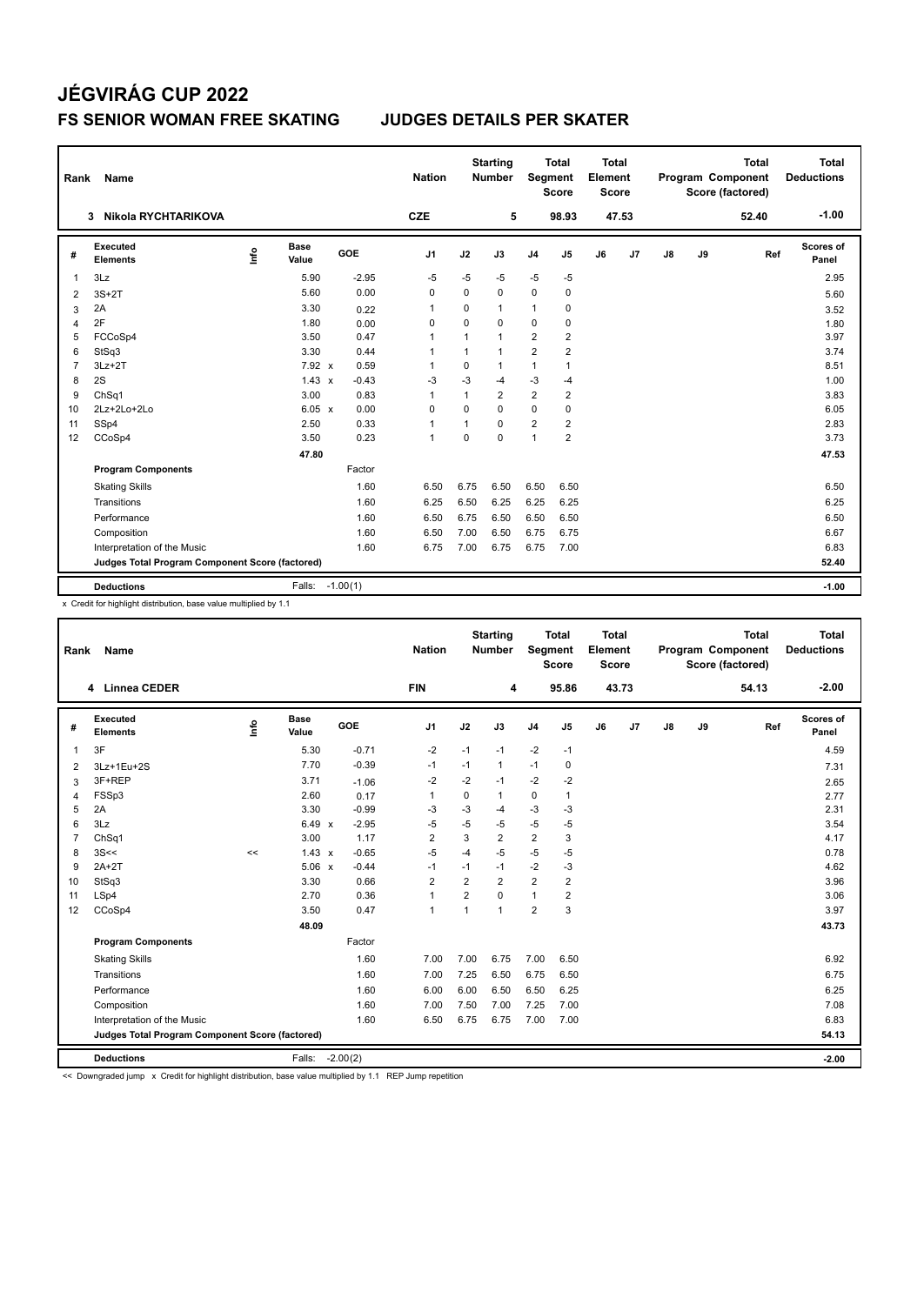# **JÉGVIRÁG CUP 2022 FS SENIOR WOMAN FREE SKATING JUDGES DETAILS PER SKATER**

| Rank           | Name                                            |    |               |            | <b>Nation</b>  |              | <b>Starting</b><br><b>Number</b> | Segment        | <b>Total</b><br><b>Score</b> | Total<br>Element<br><b>Score</b> |       |    |    | <b>Total</b><br><b>Program Component</b><br>Score (factored) | <b>Total</b><br><b>Deductions</b> |
|----------------|-------------------------------------------------|----|---------------|------------|----------------|--------------|----------------------------------|----------------|------------------------------|----------------------------------|-------|----|----|--------------------------------------------------------------|-----------------------------------|
|                | Nikola RYCHTARIKOVA<br>3                        |    |               |            | <b>CZE</b>     |              | 5                                |                | 98.93                        |                                  | 47.53 |    |    | 52.40                                                        | $-1.00$                           |
| #              | <b>Executed</b><br><b>Elements</b>              | ۴ů | Base<br>Value | GOE        | J <sub>1</sub> | J2           | J3                               | J <sub>4</sub> | J5                           | J6                               | J7    | J8 | J9 | Ref                                                          | Scores of<br>Panel                |
| 1              | 3Lz                                             |    | 5.90          | $-2.95$    | $-5$           | $-5$         | $-5$                             | $-5$           | $-5$                         |                                  |       |    |    |                                                              | 2.95                              |
| 2              | $3S+2T$                                         |    | 5.60          | 0.00       | $\mathbf 0$    | $\Omega$     | 0                                | $\mathbf 0$    | $\mathbf 0$                  |                                  |       |    |    |                                                              | 5.60                              |
| 3              | 2A                                              |    | 3.30          | 0.22       | $\overline{1}$ | $\Omega$     | 1                                | $\mathbf{1}$   | $\mathbf 0$                  |                                  |       |    |    |                                                              | 3.52                              |
| 4              | 2F                                              |    | 1.80          | 0.00       | 0              | $\Omega$     | $\Omega$                         | $\mathbf 0$    | 0                            |                                  |       |    |    |                                                              | 1.80                              |
| 5              | FCCoSp4                                         |    | 3.50          | 0.47       | $\overline{1}$ | $\mathbf{1}$ | 1                                | $\overline{2}$ | $\overline{2}$               |                                  |       |    |    |                                                              | 3.97                              |
| 6              | StSq3                                           |    | 3.30          | 0.44       | $\overline{1}$ | 1            | 1                                | $\overline{2}$ | $\overline{2}$               |                                  |       |    |    |                                                              | 3.74                              |
| $\overline{7}$ | $3Lz + 2T$                                      |    | 7.92 x        | 0.59       | -1             | $\mathbf 0$  | 1                                | $\mathbf{1}$   | 1                            |                                  |       |    |    |                                                              | 8.51                              |
| 8              | 2S                                              |    | $1.43 \times$ | $-0.43$    | $-3$           | $-3$         | $-4$                             | $-3$           | $-4$                         |                                  |       |    |    |                                                              | 1.00                              |
| 9              | ChSq1                                           |    | 3.00          | 0.83       | $\overline{1}$ | $\mathbf{1}$ | $\overline{2}$                   | 2              | $\overline{2}$               |                                  |       |    |    |                                                              | 3.83                              |
| 10             | $2Lz+2Lo+2Lo$                                   |    | 6.05 x        | 0.00       | $\mathbf 0$    | $\Omega$     | $\Omega$                         | $\mathbf 0$    | $\mathbf 0$                  |                                  |       |    |    |                                                              | 6.05                              |
| 11             | SSp4                                            |    | 2.50          | 0.33       | $\overline{1}$ | 1            | $\Omega$                         | $\overline{2}$ | $\overline{2}$               |                                  |       |    |    |                                                              | 2.83                              |
| 12             | CCoSp4                                          |    | 3.50          | 0.23       | $\overline{1}$ | $\Omega$     | $\Omega$                         | $\overline{1}$ | $\overline{2}$               |                                  |       |    |    |                                                              | 3.73                              |
|                |                                                 |    | 47.80         |            |                |              |                                  |                |                              |                                  |       |    |    |                                                              | 47.53                             |
|                | <b>Program Components</b>                       |    |               | Factor     |                |              |                                  |                |                              |                                  |       |    |    |                                                              |                                   |
|                | <b>Skating Skills</b>                           |    |               | 1.60       | 6.50           | 6.75         | 6.50                             | 6.50           | 6.50                         |                                  |       |    |    |                                                              | 6.50                              |
|                | Transitions                                     |    |               | 1.60       | 6.25           | 6.50         | 6.25                             | 6.25           | 6.25                         |                                  |       |    |    |                                                              | 6.25                              |
|                | Performance                                     |    |               | 1.60       | 6.50           | 6.75         | 6.50                             | 6.50           | 6.50                         |                                  |       |    |    |                                                              | 6.50                              |
|                | Composition                                     |    |               | 1.60       | 6.50           | 7.00         | 6.50                             | 6.75           | 6.75                         |                                  |       |    |    |                                                              | 6.67                              |
|                | Interpretation of the Music                     |    |               | 1.60       | 6.75           | 7.00         | 6.75                             | 6.75           | 7.00                         |                                  |       |    |    |                                                              | 6.83                              |
|                | Judges Total Program Component Score (factored) |    |               |            |                |              |                                  |                |                              |                                  |       |    |    |                                                              | 52.40                             |
|                | <b>Deductions</b>                               |    | Falls:        | $-1.00(1)$ |                |              |                                  |                |                              |                                  |       |    |    |                                                              | $-1.00$                           |

x Credit for highlight distribution, base value multiplied by 1.1

| Rank           | Name                                            |      |                      |            | <b>Nation</b>  |                | <b>Starting</b><br><b>Number</b> | Segment        | Total<br><b>Score</b> | <b>Total</b><br>Element<br><b>Score</b> |       |               |    | <b>Total</b><br>Program Component<br>Score (factored) | <b>Total</b><br><b>Deductions</b> |
|----------------|-------------------------------------------------|------|----------------------|------------|----------------|----------------|----------------------------------|----------------|-----------------------|-----------------------------------------|-------|---------------|----|-------------------------------------------------------|-----------------------------------|
|                | 4 Linnea CEDER                                  |      |                      |            | <b>FIN</b>     |                | 4                                |                | 95.86                 |                                         | 43.73 |               |    | 54.13                                                 | $-2.00$                           |
| #              | Executed<br><b>Elements</b>                     | lnfo | <b>Base</b><br>Value | GOE        | J <sub>1</sub> | J2             | J3                               | J <sub>4</sub> | J5                    | J6                                      | J7    | $\mathsf{J}8$ | J9 | Ref                                                   | Scores of<br>Panel                |
| 1              | 3F                                              |      | 5.30                 | $-0.71$    | $-2$           | $-1$           | $-1$                             | $-2$           | $-1$                  |                                         |       |               |    |                                                       | 4.59                              |
| 2              | 3Lz+1Eu+2S                                      |      | 7.70                 | $-0.39$    | $-1$           | $-1$           | $\mathbf{1}$                     | $-1$           | 0                     |                                         |       |               |    |                                                       | 7.31                              |
| 3              | 3F+REP                                          |      | 3.71                 | $-1.06$    | $-2$           | $-2$           | $-1$                             | $-2$           | $-2$                  |                                         |       |               |    |                                                       | 2.65                              |
| 4              | FSSp3                                           |      | 2.60                 | 0.17       | $\mathbf{1}$   | 0              | 1                                | 0              | $\mathbf{1}$          |                                         |       |               |    |                                                       | 2.77                              |
| 5              | 2A                                              |      | 3.30                 | $-0.99$    | -3             | $-3$           | $-4$                             | $-3$           | $-3$                  |                                         |       |               |    |                                                       | 2.31                              |
| 6              | 3Lz                                             |      | 6.49 x               | $-2.95$    | $-5$           | $-5$           | $-5$                             | $-5$           | $-5$                  |                                         |       |               |    |                                                       | 3.54                              |
| $\overline{7}$ | ChSq1                                           |      | 3.00                 | 1.17       | $\overline{2}$ | 3              | $\overline{2}$                   | $\overline{2}$ | 3                     |                                         |       |               |    |                                                       | 4.17                              |
| 8              | 3S<<                                            | <<   | $1.43 \times$        | $-0.65$    | $-5$           | $-4$           | $-5$                             | $-5$           | $-5$                  |                                         |       |               |    |                                                       | 0.78                              |
| 9              | $2A+2T$                                         |      | $5.06 \times$        | $-0.44$    | $-1$           | $-1$           | $-1$                             | $-2$           | $-3$                  |                                         |       |               |    |                                                       | 4.62                              |
| 10             | StSq3                                           |      | 3.30                 | 0.66       | $\overline{2}$ | $\overline{2}$ | $\overline{2}$                   | $\overline{2}$ | $\overline{2}$        |                                         |       |               |    |                                                       | 3.96                              |
| 11             | LSp4                                            |      | 2.70                 | 0.36       | $\mathbf{1}$   | $\overline{2}$ | $\Omega$                         | 1              | 2                     |                                         |       |               |    |                                                       | 3.06                              |
| 12             | CCoSp4                                          |      | 3.50                 | 0.47       | $\mathbf{1}$   | 1              | 1                                | $\overline{2}$ | 3                     |                                         |       |               |    |                                                       | 3.97                              |
|                |                                                 |      | 48.09                |            |                |                |                                  |                |                       |                                         |       |               |    |                                                       | 43.73                             |
|                | <b>Program Components</b>                       |      |                      | Factor     |                |                |                                  |                |                       |                                         |       |               |    |                                                       |                                   |
|                | <b>Skating Skills</b>                           |      |                      | 1.60       | 7.00           | 7.00           | 6.75                             | 7.00           | 6.50                  |                                         |       |               |    |                                                       | 6.92                              |
|                | Transitions                                     |      |                      | 1.60       | 7.00           | 7.25           | 6.50                             | 6.75           | 6.50                  |                                         |       |               |    |                                                       | 6.75                              |
|                | Performance                                     |      |                      | 1.60       | 6.00           | 6.00           | 6.50                             | 6.50           | 6.25                  |                                         |       |               |    |                                                       | 6.25                              |
|                | Composition                                     |      |                      | 1.60       | 7.00           | 7.50           | 7.00                             | 7.25           | 7.00                  |                                         |       |               |    |                                                       | 7.08                              |
|                | Interpretation of the Music                     |      |                      | 1.60       | 6.50           | 6.75           | 6.75                             | 7.00           | 7.00                  |                                         |       |               |    |                                                       | 6.83                              |
|                | Judges Total Program Component Score (factored) |      |                      |            |                |                |                                  |                |                       |                                         |       |               |    |                                                       | 54.13                             |
|                | <b>Deductions</b>                               |      | Falls:               | $-2.00(2)$ |                |                |                                  |                |                       |                                         |       |               |    |                                                       | $-2.00$                           |

<< Downgraded jump x Credit for highlight distribution, base value multiplied by 1.1 REP Jump repetition